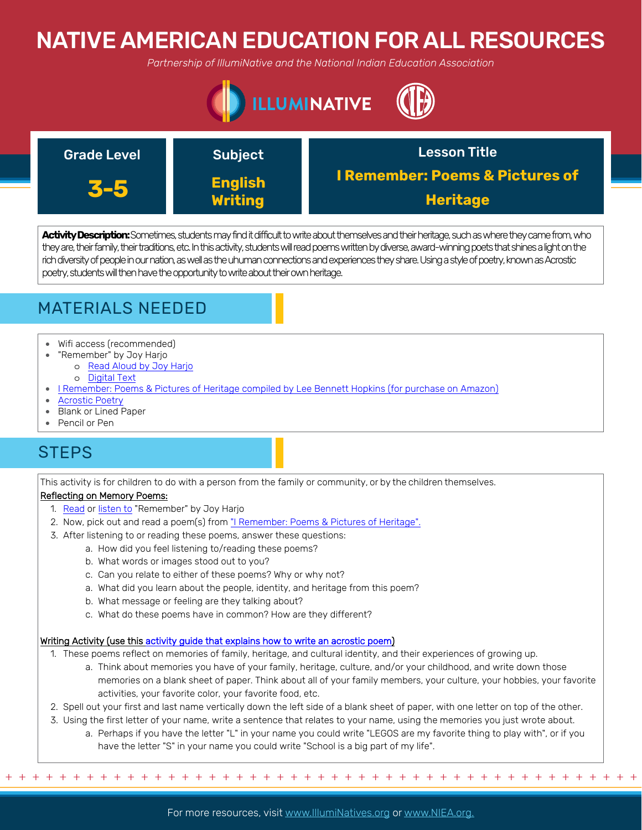# NATIVE AMERICAN EDUCATION FOR ALL RESOURCES

*Partnership of IllumiNative and the National Indian Education Association*



| <b>Grade Level</b> | <b>Subject</b>                   | <b>Lesson Title</b>                                           |
|--------------------|----------------------------------|---------------------------------------------------------------|
|                    | <b>English</b><br><b>Writing</b> | <b>I Remember: Poems &amp; Pictures of</b><br><b>Heritage</b> |

**Activity Description:**Sometimes, students may find it difficult to write about themselves and their heritage, such as where they came from, who they are, their family, their traditions, etc. In this activity, students will read poems written by diverse, award-winning poets that shines a light on the rich diversity of people in our nation, as well as the uhuman connections and experiences they share. Using a style of poetry, known as Acrostic poetry, students will then have the opportunity to write about their own heritage.



- Wifi access (recommended)
- "Remember" by Joy Harjo
	- o [Read Aloud by Joy Harjo](https://www.youtube.com/watch?v=gH0hp-n9gG8)
- o [Digital Text](https://www.awakin.org/read/view.php?tid=2315)
- [I Remember: Poems & Pictures of Heritage compiled by Lee Bennett Hopkins \(for purchase on Amazon\)](https://www.amazon.com/I-Remember-Poems-Pictures-Heritage/dp/1620143119)
- [Acrostic Poetry](http://www.teach-nology.com/worksheets/language_arts/poems/poetry1.pdf)
- Blank or Lined Paper
- Pencil or Pen

## **STEPS**

This activity is for children to do with a person from the family or community, or by the children themselves.

### Reflecting on Memory Poems:

- 1. [Read](https://www.awakin.org/read/view.php?tid=2315) or [listen to](https://www.youtube.com/watch?v=gH0hp-n9gG8) "Remember" by Joy Harjo
- 2. Now, pick out and read a poem(s) from ["I Remember: Poems & Pictures of Heritage".](https://www.amazon.com/I-Remember-Poems-Pictures-Heritage/dp/1620143119)
- 3. After listening to or reading these poems, answer these questions:
	- a. How did you feel listening to/reading these poems?
		- b. What words or images stood out to you?
		- c. Can you relate to either of these poems? Why or why not?
		- a. What did you learn about the people, identity, and heritage from this poem?
		- b. What message or feeling are they talking about?
		- c. What do these poems have in common? How are they different?

### Writing Activity (use this [activity guide that explains how to write an acrostic poem\)](http://www.teach-nology.com/worksheets/language_arts/poems/poetry1.pdf)

1. These poems reflect on memories of family, heritage, and cultural identity, and their experiences of growing up.

- a. Think about memories you have of your family, heritage, culture, and/or your childhood, and write down those memories on a blank sheet of paper. Think about all of your family members, your culture, your hobbies, your favorite activities, your favorite color, your favorite food, etc.
- 2. Spell out your first and last name vertically down the left side of a blank sheet of paper, with one letter on top of the other.
- 3. Using the first letter of your name, write a sentence that relates to your name, using the memories you just wrote about.
	- a. Perhaps if you have the letter "L" in your name you could write "LEGOS are my favorite thing to play with", or if you have the letter "S" in your name you could write "School is a big part of my life".

+ + + + + + + + + + + + + + + + + + + + + + + + + + + + + + + + + + + + + + + + + + + + + + + +

For more resources, visit www.lllumiNatives.org or www.NIEA.org.